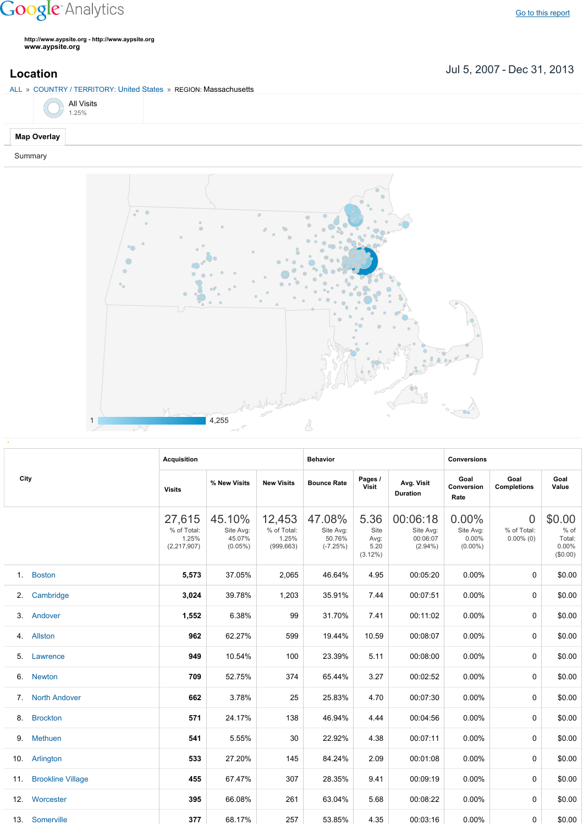## **Google** Analytics

**http://www.aypsite.org http://www.aypsite.org www.aypsite.org**

Jul 5, 2007 Dec 31, 2013 **Location**





|      |                          | <b>Acquisition</b>                            |                                             |                                              | <b>Behavior</b>                             |                                            |                                                 | <b>Conversions</b>                        |                                               |                                               |  |
|------|--------------------------|-----------------------------------------------|---------------------------------------------|----------------------------------------------|---------------------------------------------|--------------------------------------------|-------------------------------------------------|-------------------------------------------|-----------------------------------------------|-----------------------------------------------|--|
| City |                          | <b>Visits</b>                                 | % New Visits                                | <b>New Visits</b>                            | <b>Bounce Rate</b>                          | Pages /<br>Visit                           | Avg. Visit<br><b>Duration</b>                   | Goal<br>Conversion<br>Rate                | Goal<br><b>Completions</b>                    | Goal<br>Value                                 |  |
|      |                          | 27,615<br>% of Total:<br>1.25%<br>(2,217,907) | 45.10%<br>Site Avg:<br>45.07%<br>$(0.05\%)$ | 12,453<br>% of Total:<br>1.25%<br>(999, 663) | 47.08%<br>Site Avg:<br>50.76%<br>$(-7.25%)$ | 5.36<br>Site<br>Avg:<br>5.20<br>$(3.12\%)$ | 00:06:18<br>Site Avg:<br>00:06:07<br>$(2.94\%)$ | 0.00%<br>Site Avg:<br>0.00%<br>$(0.00\%)$ | $\overline{0}$<br>% of Total:<br>$0.00\%$ (0) | \$0.00<br>% of<br>Total:<br>0.00%<br>(\$0.00) |  |
|      | 1. Boston                | 5,573                                         | 37.05%                                      | 2,065                                        | 46.64%                                      | 4.95                                       | 00:05:20                                        | 0.00%                                     | $\Omega$                                      | \$0.00                                        |  |
| 2.   | Cambridge                | 3,024                                         | 39.78%                                      | 1,203                                        | 35.91%                                      | 7.44                                       | 00:07:51                                        | 0.00%                                     | 0                                             | \$0.00                                        |  |
| 3.   | Andover                  | 1,552                                         | 6.38%                                       | 99                                           | 31.70%                                      | 7.41                                       | 00:11:02                                        | 0.00%                                     | 0                                             | \$0.00                                        |  |
| 4.   | Allston                  | 962                                           | 62.27%                                      | 599                                          | 19.44%                                      | 10.59                                      | 00:08:07                                        | 0.00%                                     | 0                                             | \$0.00                                        |  |
| 5.   | Lawrence                 | 949                                           | 10.54%                                      | 100                                          | 23.39%                                      | 5.11                                       | 00:08:00                                        | 0.00%                                     | 0                                             | \$0.00                                        |  |
| 6.   | <b>Newton</b>            | 709                                           | 52.75%                                      | 374                                          | 65.44%                                      | 3.27                                       | 00:02:52                                        | 0.00%                                     | 0                                             | \$0.00                                        |  |
| 7.   | <b>North Andover</b>     | 662                                           | 3.78%                                       | 25                                           | 25.83%                                      | 4.70                                       | 00:07:30                                        | 0.00%                                     | $\Omega$                                      | \$0.00                                        |  |
| 8.   | <b>Brockton</b>          | 571                                           | 24.17%                                      | 138                                          | 46.94%                                      | 4.44                                       | 00:04:56                                        | 0.00%                                     | 0                                             | \$0.00                                        |  |
| 9.   | <b>Methuen</b>           | 541                                           | 5.55%                                       | 30                                           | 22.92%                                      | 4.38                                       | 00:07:11                                        | 0.00%                                     | 0                                             | \$0.00                                        |  |
|      | 10. Arlington            | 533                                           | 27.20%                                      | 145                                          | 84.24%                                      | 2.09                                       | 00:01:08                                        | 0.00%                                     | 0                                             | \$0.00                                        |  |
| 11.  | <b>Brookline Village</b> | 455                                           | 67.47%                                      | 307                                          | 28.35%                                      | 9.41                                       | 00:09:19                                        | 0.00%                                     | $\Omega$                                      | \$0.00                                        |  |
| 12.  | Worcester                | 395                                           | 66.08%                                      | 261                                          | 63.04%                                      | 5.68                                       | 00:08:22                                        | 0.00%                                     | $\Omega$                                      | \$0.00                                        |  |
|      | 13. Somerville           | 377                                           | 68.17%                                      | 257                                          | 53.85%                                      | 4.35                                       | 00:03:16                                        | $0.00\%$                                  | 0                                             | \$0.00                                        |  |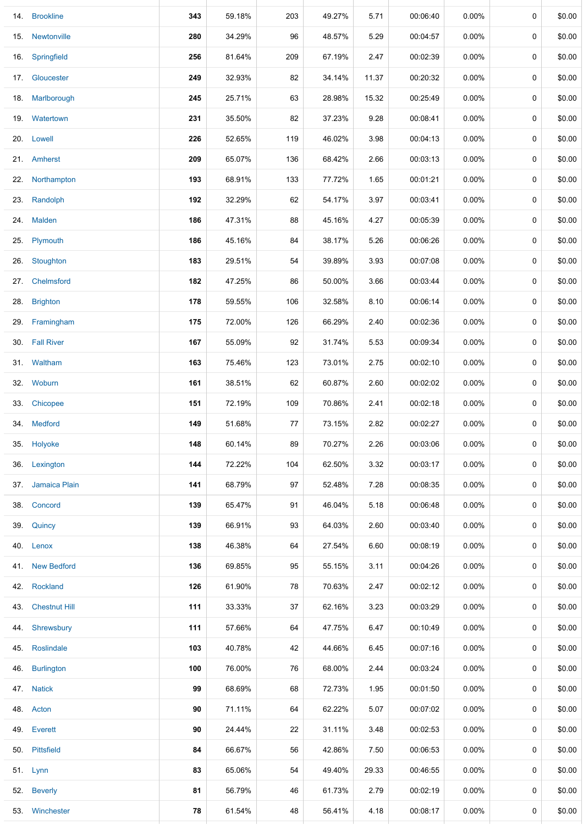|     | 14. Brookline     | 343 | 59.18% | 203 | 49.27% | 5.71  | 00:06:40 | 0.00%    | 0 | \$0.00 |
|-----|-------------------|-----|--------|-----|--------|-------|----------|----------|---|--------|
| 15. | Newtonville       | 280 | 34.29% | 96  | 48.57% | 5.29  | 00:04:57 | $0.00\%$ | 0 | \$0.00 |
| 16. | Springfield       | 256 | 81.64% | 209 | 67.19% | 2.47  | 00:02:39 | $0.00\%$ | 0 | \$0.00 |
| 17. | Gloucester        | 249 | 32.93% | 82  | 34.14% | 11.37 | 00:20:32 | $0.00\%$ | 0 | \$0.00 |
|     | 18. Marlborough   | 245 | 25.71% | 63  | 28.98% | 15.32 | 00:25:49 | $0.00\%$ | 0 | \$0.00 |
|     | 19. Watertown     | 231 | 35.50% | 82  | 37.23% | 9.28  | 00:08:41 | $0.00\%$ | 0 | \$0.00 |
|     | 20. Lowell        | 226 | 52.65% | 119 | 46.02% | 3.98  | 00:04:13 | $0.00\%$ | 0 | \$0.00 |
|     | 21. Amherst       | 209 | 65.07% | 136 | 68.42% | 2.66  | 00:03:13 | $0.00\%$ | 0 | \$0.00 |
|     | 22. Northampton   | 193 | 68.91% | 133 | 77.72% | 1.65  | 00:01:21 | $0.00\%$ | 0 | \$0.00 |
| 23. | Randolph          | 192 | 32.29% | 62  | 54.17% | 3.97  | 00:03:41 | $0.00\%$ | 0 | \$0.00 |
|     | 24. Malden        | 186 | 47.31% | 88  | 45.16% | 4.27  | 00:05:39 | 0.00%    | 0 | \$0.00 |
| 25. | Plymouth          | 186 | 45.16% | 84  | 38.17% | 5.26  | 00:06:26 | $0.00\%$ | 0 | \$0.00 |
|     | 26. Stoughton     | 183 | 29.51% | 54  | 39.89% | 3.93  | 00:07:08 | $0.00\%$ | 0 | \$0.00 |
| 27. | Chelmsford        | 182 | 47.25% | 86  | 50.00% | 3.66  | 00:03:44 | $0.00\%$ | 0 | \$0.00 |
| 28. | <b>Brighton</b>   | 178 | 59.55% | 106 | 32.58% | 8.10  | 00:06:14 | $0.00\%$ | 0 | \$0.00 |
|     | 29. Framingham    | 175 | 72.00% | 126 | 66.29% | 2.40  | 00:02:36 | $0.00\%$ | 0 | \$0.00 |
|     | 30. Fall River    | 167 | 55.09% | 92  | 31.74% | 5.53  | 00:09:34 | $0.00\%$ | 0 | \$0.00 |
|     | 31. Waltham       | 163 | 75.46% | 123 | 73.01% | 2.75  | 00:02:10 | $0.00\%$ | 0 | \$0.00 |
| 32. | Woburn            | 161 | 38.51% | 62  | 60.87% | 2.60  | 00:02:02 | $0.00\%$ | 0 | \$0.00 |
| 33. | Chicopee          | 151 | 72.19% | 109 | 70.86% | 2.41  | 00:02:18 | $0.00\%$ | 0 | \$0.00 |
|     | 34. Medford       | 149 | 51.68% | 77  | 73.15% | 2.82  | 00:02:27 | $0.00\%$ | 0 | \$0.00 |
| 35. | Holyoke           | 148 | 60.14% | 89  | 70.27% | 2.26  | 00:03:06 | $0.00\%$ | 0 | \$0.00 |
| 36. | Lexington         | 144 | 72.22% | 104 | 62.50% | 3.32  | 00:03:17 | $0.00\%$ | 0 | \$0.00 |
|     | 37. Jamaica Plain | 141 | 68.79% | 97  | 52.48% | 7.28  | 00:08:35 | $0.00\%$ | 0 | \$0.00 |
|     | 38. Concord       | 139 | 65.47% | 91  | 46.04% | 5.18  | 00:06:48 | 0.00%    | 0 | \$0.00 |
|     | 39. Quincy        | 139 | 66.91% | 93  | 64.03% | 2.60  | 00:03:40 | $0.00\%$ | 0 | \$0.00 |
|     | 40. Lenox         | 138 | 46.38% | 64  | 27.54% | 6.60  | 00:08:19 | $0.00\%$ | 0 | \$0.00 |
|     | 41. New Bedford   | 136 | 69.85% | 95  | 55.15% | 3.11  | 00:04:26 | $0.00\%$ | 0 | \$0.00 |
|     | 42. Rockland      | 126 | 61.90% | 78  | 70.63% | 2.47  | 00:02:12 | $0.00\%$ | 0 | \$0.00 |
|     | 43. Chestnut Hill | 111 | 33.33% | 37  | 62.16% | 3.23  | 00:03:29 | $0.00\%$ | 0 | \$0.00 |
| 44. | Shrewsbury        | 111 | 57.66% | 64  | 47.75% | 6.47  | 00:10:49 | $0.00\%$ | 0 | \$0.00 |
|     | 45. Roslindale    | 103 | 40.78% | 42  | 44.66% | 6.45  | 00:07:16 | $0.00\%$ | 0 | \$0.00 |
|     | 46. Burlington    | 100 | 76.00% | 76  | 68.00% | 2.44  | 00:03:24 | $0.00\%$ | 0 | \$0.00 |
|     | 47. Natick        | 99  | 68.69% | 68  | 72.73% | 1.95  | 00:01:50 | $0.00\%$ | 0 | \$0.00 |
|     | 48. Acton         | 90  | 71.11% | 64  | 62.22% | 5.07  | 00:07:02 | $0.00\%$ | 0 | \$0.00 |
|     | 49. Everett       | 90  | 24.44% | 22  | 31.11% | 3.48  | 00:02:53 | $0.00\%$ | 0 | \$0.00 |
|     | 50. Pittsfield    | 84  | 66.67% | 56  | 42.86% | 7.50  | 00:06:53 | $0.00\%$ | 0 | \$0.00 |
|     | 51. Lynn          | 83  | 65.06% | 54  | 49.40% | 29.33 | 00:46:55 | $0.00\%$ | 0 | \$0.00 |
|     | 52. Beverly       | 81  | 56.79% | 46  | 61.73% | 2.79  | 00:02:19 | $0.00\%$ | 0 | \$0.00 |
|     | 53. Winchester    | 78  | 61.54% | 48  | 56.41% | 4.18  | 00:08:17 | $0.00\%$ | 0 | \$0.00 |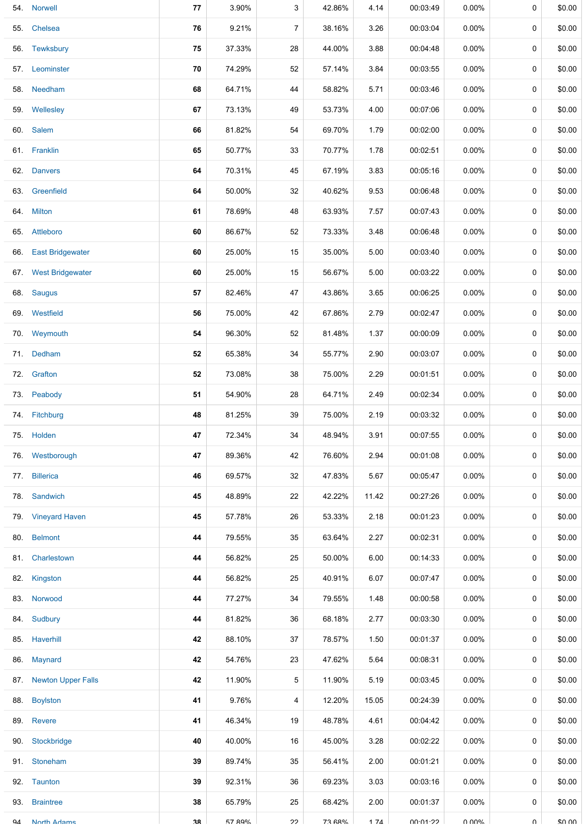| 54. | <b>Norwell</b>            | 77 | 3.90%  | 3  | 42.86% | 4.14  | 00:03:49 | 0.00%    | 0           | \$0.00 |
|-----|---------------------------|----|--------|----|--------|-------|----------|----------|-------------|--------|
| 55. | Chelsea                   | 76 | 9.21%  | 7  | 38.16% | 3.26  | 00:03:04 | $0.00\%$ | 0           | \$0.00 |
|     | 56. Tewksbury             | 75 | 37.33% | 28 | 44.00% | 3.88  | 00:04:48 | $0.00\%$ | $\mathbf 0$ | \$0.00 |
|     | 57. Leominster            | 70 | 74.29% | 52 | 57.14% | 3.84  | 00:03:55 | $0.00\%$ | 0           | \$0.00 |
|     | 58. Needham               | 68 | 64.71% | 44 | 58.82% | 5.71  | 00:03:46 | $0.00\%$ | $\mathbf 0$ | \$0.00 |
|     | 59. Wellesley             | 67 | 73.13% | 49 | 53.73% | 4.00  | 00:07:06 | $0.00\%$ | 0           | \$0.00 |
|     | 60. Salem                 | 66 | 81.82% | 54 | 69.70% | 1.79  | 00:02:00 | $0.00\%$ | $\mathbf 0$ | \$0.00 |
|     | 61. Franklin              | 65 | 50.77% | 33 | 70.77% | 1.78  | 00:02:51 | $0.00\%$ | 0           | \$0.00 |
| 62. | <b>Danvers</b>            | 64 | 70.31% | 45 | 67.19% | 3.83  | 00:05:16 | $0.00\%$ | 0           | \$0.00 |
| 63. | Greenfield                | 64 | 50.00% | 32 | 40.62% | 9.53  | 00:06:48 | 0.00%    | 0           | \$0.00 |
|     | 64. Milton                | 61 | 78.69% | 48 | 63.93% | 7.57  | 00:07:43 | $0.00\%$ | 0           | \$0.00 |
| 65. | Attleboro                 | 60 | 86.67% | 52 | 73.33% | 3.48  | 00:06:48 | $0.00\%$ | 0           | \$0.00 |
| 66. | <b>East Bridgewater</b>   | 60 | 25.00% | 15 | 35.00% | 5.00  | 00:03:40 | $0.00\%$ | 0           | \$0.00 |
| 67. | <b>West Bridgewater</b>   | 60 | 25.00% | 15 | 56.67% | 5.00  | 00:03:22 | $0.00\%$ | 0           | \$0.00 |
| 68. | Saugus                    | 57 | 82.46% | 47 | 43.86% | 3.65  | 00:06:25 | $0.00\%$ | 0           | \$0.00 |
|     | 69. Westfield             | 56 | 75.00% | 42 | 67.86% | 2.79  | 00:02:47 | $0.00\%$ | 0           | \$0.00 |
| 70. | Weymouth                  | 54 | 96.30% | 52 | 81.48% | 1.37  | 00:00:09 | $0.00\%$ | 0           | \$0.00 |
|     | 71. Dedham                | 52 | 65.38% | 34 | 55.77% | 2.90  | 00:03:07 | $0.00\%$ | $\mathbf 0$ | \$0.00 |
| 72. | Grafton                   | 52 | 73.08% | 38 | 75.00% | 2.29  | 00:01:51 | $0.00\%$ | 0           | \$0.00 |
|     | 73. Peabody               | 51 | 54.90% | 28 | 64.71% | 2.49  | 00:02:34 | $0.00\%$ | $\mathbf 0$ | \$0.00 |
|     | 74. Fitchburg             | 48 | 81.25% | 39 | 75.00% | 2.19  | 00:03:32 | $0.00\%$ | 0           | \$0.00 |
|     | 75. Holden                | 47 | 72.34% | 34 | 48.94% | 3.91  | 00:07:55 | $0.00\%$ | 0           | \$0.00 |
|     | 76. Westborough           | 47 | 89.36% | 42 | 76.60% | 2.94  | 00:01:08 | 0.00%    | 0           | \$0.00 |
| 77. | <b>Billerica</b>          | 46 | 69.57% | 32 | 47.83% | 5.67  | 00:05:47 | $0.00\%$ | 0           | \$0.00 |
| 78. | Sandwich                  | 45 | 48.89% | 22 | 42.22% | 11.42 | 00:27:26 | $0.00\%$ | 0           | \$0.00 |
| 79. | <b>Vineyard Haven</b>     | 45 | 57.78% | 26 | 53.33% | 2.18  | 00:01:23 | $0.00\%$ | 0           | \$0.00 |
| 80. | <b>Belmont</b>            | 44 | 79.55% | 35 | 63.64% | 2.27  | 00:02:31 | $0.00\%$ | 0           | \$0.00 |
| 81. | Charlestown               | 44 | 56.82% | 25 | 50.00% | 6.00  | 00:14:33 | $0.00\%$ | 0           | \$0.00 |
| 82. | Kingston                  | 44 | 56.82% | 25 | 40.91% | 6.07  | 00:07:47 | $0.00\%$ | 0           | \$0.00 |
|     | 83. Norwood               | 44 | 77.27% | 34 | 79.55% | 1.48  | 00:00:58 | $0.00\%$ | 0           | \$0.00 |
| 84. | Sudbury                   | 44 | 81.82% | 36 | 68.18% | 2.77  | 00:03:30 | $0.00\%$ | 0           | \$0.00 |
| 85. | Haverhill                 | 42 | 88.10% | 37 | 78.57% | 1.50  | 00:01:37 | $0.00\%$ | 0           | \$0.00 |
| 86. | Maynard                   | 42 | 54.76% | 23 | 47.62% | 5.64  | 00:08:31 | $0.00\%$ | 0           | \$0.00 |
| 87. | <b>Newton Upper Falls</b> | 42 | 11.90% | 5  | 11.90% | 5.19  | 00:03:45 | $0.00\%$ | 0           | \$0.00 |
| 88. | <b>Boylston</b>           | 41 | 9.76%  | 4  | 12.20% | 15.05 | 00:24:39 | $0.00\%$ | 0           | \$0.00 |
| 89. | Revere                    | 41 | 46.34% | 19 | 48.78% | 4.61  | 00:04:42 | $0.00\%$ | 0           | \$0.00 |
| 90. | Stockbridge               | 40 | 40.00% | 16 | 45.00% | 3.28  | 00:02:22 | $0.00\%$ | 0           | \$0.00 |
| 91. | Stoneham                  | 39 | 89.74% | 35 | 56.41% | 2.00  | 00:01:21 | $0.00\%$ | 0           | \$0.00 |
|     | 92. Taunton               | 39 | 92.31% | 36 | 69.23% | 3.03  | 00:03:16 | $0.00\%$ | 0           | \$0.00 |
| 93. | <b>Braintree</b>          | 38 | 65.79% | 25 | 68.42% | 2.00  | 00:01:37 | $0.00\%$ | 0           | \$0.00 |
| QΔ  | <b>North Adame</b>        | 38 | 57 89% | つつ | 73 68% | 174   | 00.01.22 | ለ በሀል    | U           | \$0.00 |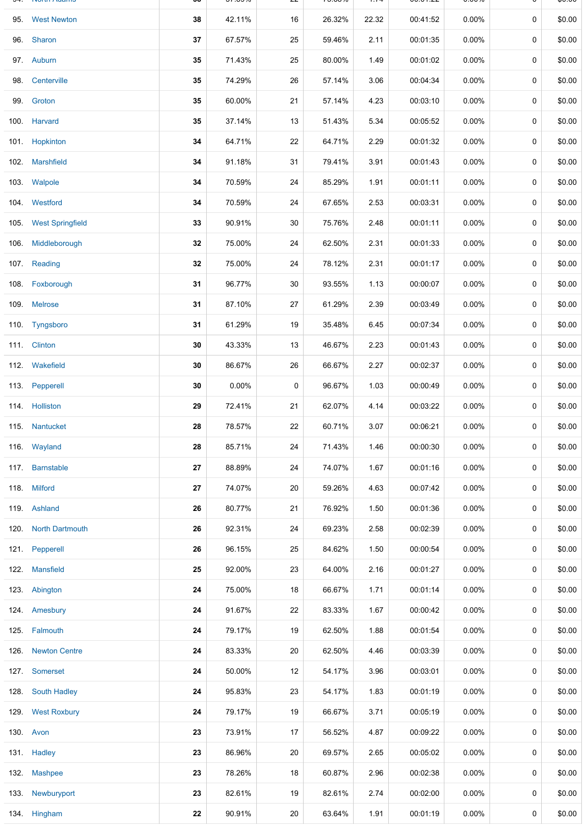|      | <b>IVOLUI AVAILIO</b> |    | <u>JI.UJ/U</u> |    | 19.0070 | $1.1 -$ | 00.U I . <i>LL</i> | <b>0.0070</b> |   | ψυ.υυ  |
|------|-----------------------|----|----------------|----|---------|---------|--------------------|---------------|---|--------|
|      | 95. West Newton       | 38 | 42.11%         | 16 | 26.32%  | 22.32   | 00:41:52           | $0.00\%$      | 0 | \$0.00 |
|      | 96. Sharon            | 37 | 67.57%         | 25 | 59.46%  | 2.11    | 00:01:35           | 0.00%         | 0 | \$0.00 |
|      | 97. Auburn            | 35 | 71.43%         | 25 | 80.00%  | 1.49    | 00:01:02           | $0.00\%$      | 0 | \$0.00 |
| 98.  | Centerville           | 35 | 74.29%         | 26 | 57.14%  | 3.06    | 00:04:34           | $0.00\%$      | 0 | \$0.00 |
|      | 99. Groton            | 35 | 60.00%         | 21 | 57.14%  | 4.23    | 00:03:10           | $0.00\%$      | 0 | \$0.00 |
|      | 100. Harvard          | 35 | 37.14%         | 13 | 51.43%  | 5.34    | 00:05:52           | $0.00\%$      | 0 | \$0.00 |
|      | 101. Hopkinton        | 34 | 64.71%         | 22 | 64.71%  | 2.29    | 00:01:32           | $0.00\%$      | 0 | \$0.00 |
|      | 102. Marshfield       | 34 | 91.18%         | 31 | 79.41%  | 3.91    | 00:01:43           | $0.00\%$      | 0 | \$0.00 |
|      | 103. Walpole          | 34 | 70.59%         | 24 | 85.29%  | 1.91    | 00:01:11           | $0.00\%$      | 0 | \$0.00 |
|      | 104. Westford         | 34 | 70.59%         | 24 | 67.65%  | 2.53    | 00:03:31           | $0.00\%$      | 0 | \$0.00 |
|      | 105. West Springfield | 33 | 90.91%         | 30 | 75.76%  | 2.48    | 00:01:11           | $0.00\%$      | 0 | \$0.00 |
|      | 106. Middleborough    | 32 | 75.00%         | 24 | 62.50%  | 2.31    | 00:01:33           | $0.00\%$      | 0 | \$0.00 |
|      | 107. Reading          | 32 | 75.00%         | 24 | 78.12%  | 2.31    | 00:01:17           | $0.00\%$      | 0 | \$0.00 |
|      | 108. Foxborough       | 31 | 96.77%         | 30 | 93.55%  | 1.13    | 00:00:07           | 0.00%         | 0 | \$0.00 |
|      | 109. Melrose          | 31 | 87.10%         | 27 | 61.29%  | 2.39    | 00:03:49           | $0.00\%$      | 0 | \$0.00 |
|      | 110. Tyngsboro        | 31 | 61.29%         | 19 | 35.48%  | 6.45    | 00:07:34           | $0.00\%$      | 0 | \$0.00 |
|      | 111. Clinton          | 30 | 43.33%         | 13 | 46.67%  | 2.23    | 00:01:43           | 0.00%         | 0 | \$0.00 |
|      | 112. Wakefield        | 30 | 86.67%         | 26 | 66.67%  | 2.27    | 00:02:37           | $0.00\%$      | 0 | \$0.00 |
|      | 113. Pepperell        | 30 | $0.00\%$       | 0  | 96.67%  | 1.03    | 00:00:49           | 0.00%         | 0 | \$0.00 |
|      | 114. Holliston        | 29 | 72.41%         | 21 | 62.07%  | 4.14    | 00:03:22           | $0.00\%$      | 0 | \$0.00 |
|      | 115. Nantucket        | 28 | 78.57%         | 22 | 60.71%  | 3.07    | 00:06:21           | $0.00\%$      | 0 | \$0.00 |
|      | 116. Wayland          | 28 | 85.71%         | 24 | 71.43%  | 1.46    | 00:00:30           | $0.00\%$      | 0 | \$0.00 |
|      | 117. Barnstable       | 27 | 88.89%         | 24 | 74.07%  | 1.67    | 00:01:16           | $0.00\%$      | 0 | \$0.00 |
|      | 118. Milford          | 27 | 74.07%         | 20 | 59.26%  | 4.63    | 00:07:42           | $0.00\%$      | 0 | \$0.00 |
|      | 119. Ashland          | 26 | 80.77%         | 21 | 76.92%  | 1.50    | 00:01:36           | $0.00\%$      | 0 | \$0.00 |
|      | 120. North Dartmouth  | 26 | 92.31%         | 24 | 69.23%  | 2.58    | 00:02:39           | $0.00\%$      | 0 | \$0.00 |
|      | 121. Pepperell        | 26 | 96.15%         | 25 | 84.62%  | 1.50    | 00:00:54           | $0.00\%$      | 0 | \$0.00 |
|      | 122. Mansfield        | 25 | 92.00%         | 23 | 64.00%  | 2.16    | 00:01:27           | $0.00\%$      | 0 | \$0.00 |
|      | 123. Abington         | 24 | 75.00%         | 18 | 66.67%  | 1.71    | 00:01:14           | $0.00\%$      | 0 | \$0.00 |
|      | 124. Amesbury         | 24 | 91.67%         | 22 | 83.33%  | 1.67    | 00:00:42           | $0.00\%$      | 0 | \$0.00 |
|      | 125. Falmouth         | 24 | 79.17%         | 19 | 62.50%  | 1.88    | 00:01:54           | $0.00\%$      | 0 | \$0.00 |
| 126. | <b>Newton Centre</b>  | 24 | 83.33%         | 20 | 62.50%  | 4.46    | 00:03:39           | $0.00\%$      | 0 | \$0.00 |
|      | 127. Somerset         | 24 | 50.00%         | 12 | 54.17%  | 3.96    | 00:03:01           | $0.00\%$      | 0 | \$0.00 |
|      | 128. South Hadley     | 24 | 95.83%         | 23 | 54.17%  | 1.83    | 00:01:19           | $0.00\%$      | 0 | \$0.00 |
|      | 129. West Roxbury     | 24 | 79.17%         | 19 | 66.67%  | 3.71    | 00:05:19           | $0.00\%$      | 0 | \$0.00 |
|      | 130. Avon             | 23 | 73.91%         | 17 | 56.52%  | 4.87    | 00:09:22           | $0.00\%$      | 0 | \$0.00 |
|      | 131. Hadley           | 23 | 86.96%         | 20 | 69.57%  | 2.65    | 00:05:02           | $0.00\%$      | 0 | \$0.00 |
|      | 132 Mashpee           | 23 | 78.26%         | 18 | 60.87%  | 2.96    | 00:02:38           | $0.00\%$      | 0 | \$0.00 |
| 133. | Newburyport           | 23 | 82.61%         | 19 | 82.61%  | 2.74    | 00:02:00           | $0.00\%$      | 0 | \$0.00 |
|      | 134. Hingham          | 22 | 90.91%         | 20 | 63.64%  | 1.91    | 00:01:19           | 0.00%         | 0 | \$0.00 |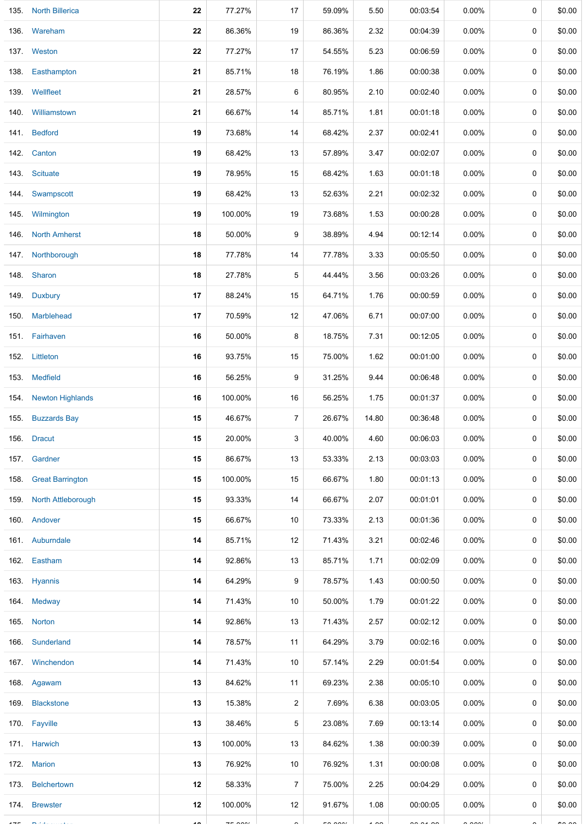| 135. North Billerica    | 22 | 77.27%        | 17             | 59.09%   | 5.50           | 00:03:54      | $0.00\%$             | 0 | \$0.00        |
|-------------------------|----|---------------|----------------|----------|----------------|---------------|----------------------|---|---------------|
| 136. Wareham            | 22 | 86.36%        | 19             | 86.36%   | 2.32           | 00:04:39      | $0.00\%$             | 0 | \$0.00        |
| 137. Weston             | 22 | 77.27%        | 17             | 54.55%   | 5.23           | 00:06:59      | 0.00%                | 0 | \$0.00        |
| 138. Easthampton        | 21 | 85.71%        | 18             | 76.19%   | 1.86           | 00:00:38      | 0.00%                | 0 | \$0.00        |
| 139. Wellfleet          | 21 | 28.57%        | 6              | 80.95%   | 2.10           | 00:02:40      | $0.00\%$             | 0 | \$0.00        |
| 140. Williamstown       | 21 | 66.67%        | 14             | 85.71%   | 1.81           | 00:01:18      | $0.00\%$             | 0 | \$0.00        |
| 141. Bedford            | 19 | 73.68%        | 14             | 68.42%   | 2.37           | 00:02:41      | 0.00%                | 0 | \$0.00        |
| 142. Canton             | 19 | 68.42%        | 13             | 57.89%   | 3.47           | 00:02:07      | $0.00\%$             | 0 | \$0.00        |
| 143. Scituate           | 19 | 78.95%        | 15             | 68.42%   | 1.63           | 00:01:18      | $0.00\%$             | 0 | \$0.00        |
| 144 Swampscott          | 19 | 68.42%        | 13             | 52.63%   | 2.21           | 00:02:32      | $0.00\%$             | 0 | \$0.00        |
| 145. Wilmington         | 19 | 100.00%       | 19             | 73.68%   | 1.53           | 00:00:28      | $0.00\%$             | 0 | \$0.00        |
| 146. North Amherst      | 18 | 50.00%        | 9              | 38.89%   | 4.94           | 00:12:14      | 0.00%                | 0 | \$0.00        |
| 147. Northborough       | 18 | 77.78%        | 14             | 77.78%   | 3.33           | 00:05:50      | 0.00%                | 0 | \$0.00        |
| 148. Sharon             | 18 | 27.78%        | 5              | 44.44%   | 3.56           | 00:03:26      | $0.00\%$             | 0 | \$0.00        |
| 149. Duxbury            | 17 | 88.24%        | 15             | 64.71%   | 1.76           | 00:00:59      | 0.00%                | 0 | \$0.00        |
| 150. Marblehead         | 17 | 70.59%        | 12             | 47.06%   | 6.71           | 00:07:00      | 0.00%                | 0 | \$0.00        |
| 151. Fairhaven          | 16 | 50.00%        | 8              | 18.75%   | 7.31           | 00:12:05      | $0.00\%$             | 0 | \$0.00        |
| 152. Littleton          | 16 | 93.75%        | 15             | 75.00%   | 1.62           | 00:01:00      | 0.00%                | 0 | \$0.00        |
| 153. Medfield           | 16 | 56.25%        | 9              | 31.25%   | 9.44           | 00:06:48      | 0.00%                | 0 | \$0.00        |
| 154. Newton Highlands   | 16 | 100.00%       | 16             | 56.25%   | 1.75           | 00:01:37      | $0.00\%$             | 0 | \$0.00        |
| 155. Buzzards Bay       | 15 | 46.67%        | $\overline{7}$ | 26.67%   | 14.80          | 00:36:48      | 0.00%                | 0 | \$0.00        |
| 156. Dracut             | 15 | 20.00%        | 3              | 40.00%   | 4.60           | 00:06:03      | $0.00\%$             | 0 | \$0.00        |
| 157. Gardner            | 15 | 86.67%        | 13             | 53.33%   | 2.13           | 00:03:03      | $0.00\%$             | 0 | \$0.00        |
| 158. Great Barrington   | 15 | 100.00%       | 15             | 66.67%   | 1.80           | 00:01:13      | $0.00\%$             | 0 | \$0.00        |
| 159. North Attleborough | 15 | 93.33%        | 14             | 66.67%   | 2.07           | 00:01:01      | $0.00\%$             | 0 | \$0.00        |
| 160. Andover            | 15 | 66.67%        | 10             | 73.33%   | 2.13           | 00:01:36      | $0.00\%$             | 0 | \$0.00        |
| 161. Auburndale         | 14 | 85.71%        | 12             | 71.43%   | 3.21           | 00:02:46      | $0.00\%$             | 0 | \$0.00        |
| 162. Eastham            | 14 | 92.86%        | 13             | 85.71%   | 1.71           | 00:02:09      | $0.00\%$             | 0 | \$0.00        |
| 163. Hyannis            | 14 | 64.29%        | 9              | 78.57%   | 1.43           | 00:00:50      | $0.00\%$             | 0 | \$0.00        |
| 164. Medway             | 14 | 71.43%        | 10             | 50.00%   | 1.79           | 00:01:22      | $0.00\%$             | 0 | \$0.00        |
| 165. Norton             | 14 | 92.86%        | 13             | 71.43%   | 2.57           | 00:02:12      | $0.00\%$             | 0 | \$0.00        |
| 166. Sunderland         | 14 | 78.57%        | 11             | 64.29%   | 3.79           | 00:02:16      | $0.00\%$             | 0 | \$0.00        |
| 167 Winchendon          | 14 | 71.43%        | 10             | 57.14%   | 2.29           | 00:01:54      | $0.00\%$             | 0 | \$0.00        |
| 168. Agawam             | 13 | 84.62%        | 11             | 69.23%   | 2.38           | 00:05:10      | $0.00\%$             | 0 | \$0.00        |
| 169. Blackstone         | 13 | 15.38%        | 2              | 7.69%    | 6.38           | 00:03:05      | $0.00\%$             | 0 | \$0.00        |
| 170. Fayville           | 13 | 38.46%        | 5              | 23.08%   | 7.69           | 00:13:14      | $0.00\%$             | 0 | \$0.00        |
| 171. Harwich            | 13 | 100.00%       | 13             | 84.62%   | 1.38           | 00:00:39      | $0.00\%$             | 0 | \$0.00        |
| 172. Marion             | 13 | 76.92%        | 10             | 76.92%   | 1.31           | 00:00:08      | $0.00\%$             | 0 | \$0.00        |
| 173. Belchertown        | 12 | 58.33%        | $\overline{7}$ | 75.00%   | 2.25           | 00:04:29      | $0.00\%$             | 0 | \$0.00        |
| 174. Brewster           | 12 | 100.00%       | 12             | 91.67%   | 1.08           | 00:00:05      | $0.00\%$             | 0 | \$0.00        |
|                         |    | $- - - - - -$ |                | $-0.001$ | $\overline{1}$ | $\frac{1}{2}$ | $\sim$ $\sim$ $\sim$ |   | $\sim$ $\sim$ |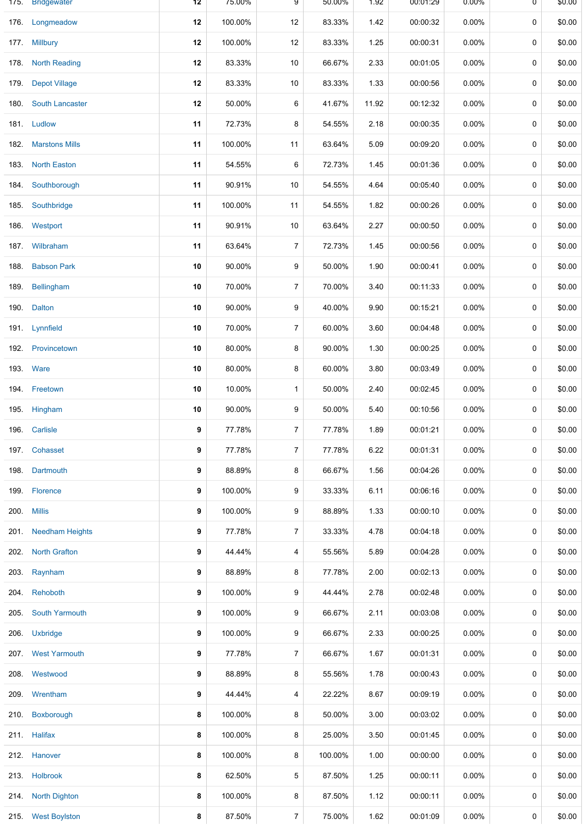|      | 175. Bridgewater       | 12 | 75.00%  | 9              | 50.00%  | 1.92  | 00:01:29 | $0.00\%$ | 0 | \$0.00 |
|------|------------------------|----|---------|----------------|---------|-------|----------|----------|---|--------|
| 176. | Longmeadow             | 12 | 100.00% | 12             | 83.33%  | 1.42  | 00:00:32 | 0.00%    | 0 | \$0.00 |
|      | 177. Millbury          | 12 | 100.00% | 12             | 83.33%  | 1.25  | 00:00:31 | $0.00\%$ | 0 | \$0.00 |
| 178. | <b>North Reading</b>   | 12 | 83.33%  | $10$           | 66.67%  | 2.33  | 00:01:05 | 0.00%    | 0 | \$0.00 |
| 179. | <b>Depot Village</b>   | 12 | 83.33%  | $10$           | 83.33%  | 1.33  | 00:00:56 | $0.00\%$ | 0 | \$0.00 |
| 180. | <b>South Lancaster</b> | 12 | 50.00%  | 6              | 41.67%  | 11.92 | 00:12:32 | 0.00%    | 0 | \$0.00 |
|      | 181. Ludlow            | 11 | 72.73%  | 8              | 54.55%  | 2.18  | 00:00:35 | $0.00\%$ | 0 | \$0.00 |
| 182. | <b>Marstons Mills</b>  | 11 | 100.00% | 11             | 63.64%  | 5.09  | 00:09:20 | $0.00\%$ | 0 | \$0.00 |
| 183. | <b>North Easton</b>    | 11 | 54.55%  | 6              | 72.73%  | 1.45  | 00:01:36 | $0.00\%$ | 0 | \$0.00 |
|      | 184. Southborough      | 11 | 90.91%  | $10$           | 54.55%  | 4.64  | 00:05:40 | $0.00\%$ | 0 | \$0.00 |
| 185. | Southbridge            | 11 | 100.00% | 11             | 54.55%  | 1.82  | 00:00:26 | $0.00\%$ | 0 | \$0.00 |
| 186. | Westport               | 11 | 90.91%  | $10$           | 63.64%  | 2.27  | 00:00:50 | 0.00%    | 0 | \$0.00 |
| 187. | Wilbraham              | 11 | 63.64%  | $\overline{7}$ | 72.73%  | 1.45  | 00:00:56 | $0.00\%$ | 0 | \$0.00 |
| 188. | <b>Babson Park</b>     | 10 | 90.00%  | 9              | 50.00%  | 1.90  | 00:00:41 | $0.00\%$ | 0 | \$0.00 |
| 189. | Bellingham             | 10 | 70.00%  | $\overline{7}$ | 70.00%  | 3.40  | 00:11:33 | $0.00\%$ | 0 | \$0.00 |
| 190. | <b>Dalton</b>          | 10 | 90.00%  | 9              | 40.00%  | 9.90  | 00:15:21 | $0.00\%$ | 0 | \$0.00 |
| 191. | Lynnfield              | 10 | 70.00%  | $\overline{7}$ | 60.00%  | 3.60  | 00:04:48 | $0.00\%$ | 0 | \$0.00 |
|      | 192. Provincetown      | 10 | 80.00%  | 8              | 90.00%  | 1.30  | 00:00:25 | $0.00\%$ | 0 | \$0.00 |
|      | 193. Ware              | 10 | 80.00%  | 8              | 60.00%  | 3.80  | 00:03:49 | $0.00\%$ | 0 | \$0.00 |
|      | 194. Freetown          | 10 | 10.00%  | 1              | 50.00%  | 2.40  | 00:02:45 | $0.00\%$ | 0 | \$0.00 |
| 195. | Hingham                | 10 | 90.00%  | 9              | 50.00%  | 5.40  | 00:10:56 | $0.00\%$ | 0 | \$0.00 |
|      | 196. Carlisle          | 9  | 77.78%  | 7              | 77.78%  | 1.89  | 00:01:21 | $0.00\%$ | 0 | \$0.00 |
|      | 197. Cohasset          | 9  | 77.78%  | 7              | 77.78%  | 6.22  | 00:01:31 | 0.00%    | 0 | \$0.00 |
| 198. | Dartmouth              | 9  | 88.89%  | 8              | 66.67%  | 1.56  | 00:04:26 | $0.00\%$ | 0 | \$0.00 |
| 199. | Florence               | 9  | 100.00% | 9              | 33.33%  | 6.11  | 00:06:16 | 0.00%    | 0 | \$0.00 |
| 200. | <b>Millis</b>          | 9  | 100.00% | 9              | 88.89%  | 1.33  | 00:00:10 | $0.00\%$ | 0 | \$0.00 |
|      | 201. Needham Heights   | 9  | 77.78%  | 7              | 33.33%  | 4.78  | 00:04:18 | 0.00%    | 0 | \$0.00 |
| 202. | <b>North Grafton</b>   | 9  | 44.44%  | 4              | 55.56%  | 5.89  | 00:04:28 | $0.00\%$ | 0 | \$0.00 |
| 203. | Raynham                | 9  | 88.89%  | 8              | 77.78%  | 2.00  | 00:02:13 | $0.00\%$ | 0 | \$0.00 |
| 204. | Rehoboth               | 9  | 100.00% | 9              | 44.44%  | 2.78  | 00:02:48 | $0.00\%$ | 0 | \$0.00 |
| 205. | South Yarmouth         | 9  | 100.00% | 9              | 66.67%  | 2.11  | 00:03:08 | $0.00\%$ | 0 | \$0.00 |
| 206. | <b>Uxbridge</b>        | 9  | 100.00% | 9              | 66.67%  | 2.33  | 00:00:25 | $0.00\%$ | 0 | \$0.00 |
|      | 207. West Yarmouth     | 9  | 77.78%  | 7              | 66.67%  | 1.67  | 00:01:31 | $0.00\%$ | 0 | \$0.00 |
| 208. | Westwood               | 9  | 88.89%  | 8              | 55.56%  | 1.78  | 00:00:43 | $0.00\%$ | 0 | \$0.00 |
| 209. | Wrentham               | 9  | 44.44%  | 4              | 22.22%  | 8.67  | 00:09:19 | $0.00\%$ | 0 | \$0.00 |
| 210. | Boxborough             | 8  | 100.00% | 8              | 50.00%  | 3.00  | 00:03:02 | $0.00\%$ | 0 | \$0.00 |
|      | 211. Halifax           | 8  | 100.00% | 8              | 25.00%  | 3.50  | 00:01:45 | 0.00%    | 0 | \$0.00 |
|      | 212. Hanover           | 8  | 100.00% | 8              | 100.00% | 1.00  | 00:00:00 | $0.00\%$ | 0 | \$0.00 |
|      | 213. Holbrook          | 8  | 62.50%  | 5              | 87.50%  | 1.25  | 00:00:11 | $0.00\%$ | 0 | \$0.00 |
| 214. | <b>North Dighton</b>   | 8  | 100.00% | 8              | 87.50%  | 1.12  | 00:00:11 | $0.00\%$ | 0 | \$0.00 |
|      | 215. West Boylston     | 8  | 87.50%  | $\overline{7}$ | 75.00%  | 1.62  | 00:01:09 | 0.00%    | 0 | \$0.00 |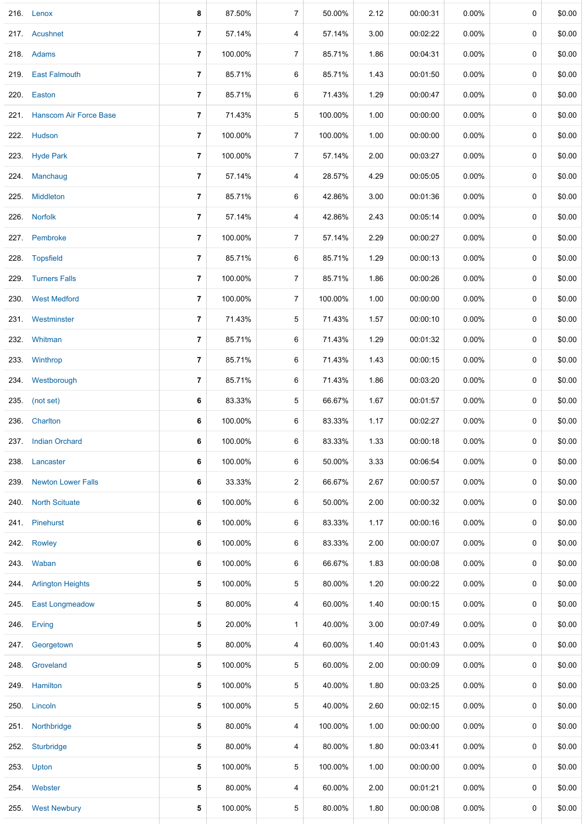|      | 216. Lenox                  | 8                        | 87.50%  | 7              | 50.00%  | 2.12 | 00:00:31 | 0.00%    | 0           | \$0.00 |
|------|-----------------------------|--------------------------|---------|----------------|---------|------|----------|----------|-------------|--------|
|      | 217. Acushnet               | 7                        | 57.14%  | 4              | 57.14%  | 3.00 | 00:02:22 | $0.00\%$ | 0           | \$0.00 |
|      | 218. Adams                  | 7                        | 100.00% | $\overline{7}$ | 85.71%  | 1.86 | 00:04:31 | $0.00\%$ | 0           | \$0.00 |
|      | 219. East Falmouth          | $\overline{\phantom{a}}$ | 85.71%  | 6              | 85.71%  | 1.43 | 00:01:50 | 0.00%    | 0           | \$0.00 |
|      | 220. Easton                 | 7                        | 85.71%  | 6              | 71.43%  | 1.29 | 00:00:47 | 0.00%    | 0           | \$0.00 |
|      | 221. Hanscom Air Force Base | 7                        | 71.43%  | 5              | 100.00% | 1.00 | 00:00:00 | 0.00%    | 0           | \$0.00 |
|      | 222. Hudson                 | 7                        | 100.00% | $\overline{7}$ | 100.00% | 1.00 | 00:00:00 | $0.00\%$ | 0           | \$0.00 |
|      | 223. Hyde Park              | 7                        | 100.00% | $\overline{7}$ | 57.14%  | 2.00 | 00:03:27 | $0.00\%$ | 0           | \$0.00 |
|      | 224 Manchaug                | 7                        | 57.14%  | 4              | 28.57%  | 4.29 | 00:05:05 | $0.00\%$ | 0           | \$0.00 |
|      | 225. Middleton              | 7                        | 85.71%  | 6              | 42.86%  | 3.00 | 00:01:36 | $0.00\%$ | 0           | \$0.00 |
|      | 226. Norfolk                | 7                        | 57.14%  | 4              | 42.86%  | 2.43 | 00:05:14 | $0.00\%$ | 0           | \$0.00 |
|      | 227. Pembroke               | 7                        | 100.00% | 7              | 57.14%  | 2.29 | 00:00:27 | $0.00\%$ | 0           | \$0.00 |
|      | 228. Topsfield              | 7                        | 85.71%  | 6              | 85.71%  | 1.29 | 00:00:13 | 0.00%    | 0           | \$0.00 |
|      | 229. Turners Falls          | 7                        | 100.00% | $\overline{7}$ | 85.71%  | 1.86 | 00:00:26 | 0.00%    | 0           | \$0.00 |
|      | 230. West Medford           | 7                        | 100.00% | $\overline{7}$ | 100.00% | 1.00 | 00:00:00 | $0.00\%$ | 0           | \$0.00 |
|      | 231 Westminster             | 7                        | 71.43%  | 5              | 71.43%  | 1.57 | 00:00:10 | $0.00\%$ | 0           | \$0.00 |
|      | 232. Whitman                | 7                        | 85.71%  | 6              | 71.43%  | 1.29 | 00:01:32 | $0.00\%$ | 0           | \$0.00 |
|      | 233. Winthrop               | 7                        | 85.71%  | 6              | 71.43%  | 1.43 | 00:00:15 | 0.00%    | 0           | \$0.00 |
|      | 234. Westborough            | 7                        | 85.71%  | 6              | 71.43%  | 1.86 | 00:03:20 | $0.00\%$ | 0           | \$0.00 |
|      | 235. (not set)              | 6                        | 83.33%  | 5              | 66.67%  | 1.67 | 00:01:57 | 0.00%    | 0           | \$0.00 |
| 236. | Charlton                    | 6                        | 100.00% | 6              | 83.33%  | 1.17 | 00:02:27 | 0.00%    | 0           | \$0.00 |
|      | 237 Indian Orchard          | 6                        | 100.00% | 6              | 83.33%  | 1.33 | 00:00:18 | 0.00%    | 0           | \$0.00 |
| 238. | Lancaster                   | 6                        | 100.00% | 6              | 50.00%  | 3.33 | 00:06:54 | $0.00\%$ | $\mathbf 0$ | \$0.00 |
|      | 239. Newton Lower Falls     | 6                        | 33.33%  | 2              | 66.67%  | 2.67 | 00:00:57 | $0.00\%$ | 0           | \$0.00 |
| 240. | <b>North Scituate</b>       | 6                        | 100.00% | 6              | 50.00%  | 2.00 | 00:00:32 | $0.00\%$ | $\mathbf 0$ | \$0.00 |
|      | 241 Pinehurst               | 6                        | 100.00% | 6              | 83.33%  | 1.17 | 00:00:16 | $0.00\%$ | 0           | \$0.00 |
| 242. | Rowley                      | 6                        | 100.00% | 6              | 83.33%  | 2.00 | 00:00:07 | $0.00\%$ | 0           | \$0.00 |
|      | 243. Waban                  | 6                        | 100.00% | 6              | 66.67%  | 1.83 | 00:00:08 | $0.00\%$ | 0           | \$0.00 |
|      | 244. Arlington Heights      | 5                        | 100.00% | 5              | 80.00%  | 1.20 | 00:00:22 | $0.00\%$ | 0           | \$0.00 |
| 245. | <b>East Longmeadow</b>      | 5                        | 80.00%  | 4              | 60.00%  | 1.40 | 00:00:15 | $0.00\%$ | 0           | \$0.00 |
|      | 246. Erving                 | 5                        | 20.00%  | 1              | 40.00%  | 3.00 | 00:07:49 | $0.00\%$ | 0           | \$0.00 |
| 247. | Georgetown                  | 5                        | 80.00%  | 4              | 60.00%  | 1.40 | 00:01:43 | $0.00\%$ | 0           | \$0.00 |
| 248. | Groveland                   | 5                        | 100.00% | 5              | 60.00%  | 2.00 | 00:00:09 | $0.00\%$ | 0           | \$0.00 |
| 249. | Hamilton                    | 5                        | 100.00% | 5              | 40.00%  | 1.80 | 00:03:25 | $0.00\%$ | 0           | \$0.00 |
|      | 250. Lincoln                | 5                        | 100.00% | 5              | 40.00%  | 2.60 | 00:02:15 | $0.00\%$ | 0           | \$0.00 |
| 251. | Northbridge                 | 5                        | 80.00%  | 4              | 100.00% | 1.00 | 00:00:00 | $0.00\%$ | 0           | \$0.00 |
| 252. | Sturbridge                  | 5                        | 80.00%  | 4              | 80.00%  | 1.80 | 00:03:41 | $0.00\%$ | 0           | \$0.00 |
| 253. | Upton                       | 5                        | 100.00% | 5              | 100.00% | 1.00 | 00:00:00 | $0.00\%$ | 0           | \$0.00 |
|      | 254. Webster                | 5                        | 80.00%  | 4              | 60.00%  | 2.00 | 00:01:21 | $0.00\%$ | 0           | \$0.00 |
|      | 255. West Newbury           | 5                        | 100.00% | 5              | 80.00%  | 1.80 | 00:00:08 | 0.00%    | 0           | \$0.00 |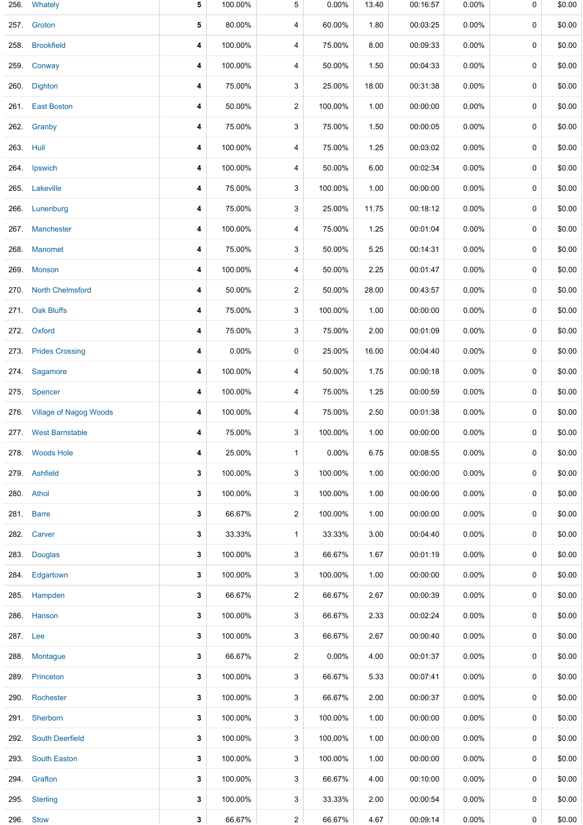| 256.      | Whately                     | 5 | 100.00% | 5              | $0.00\%$ | 13.40 | 00:16:57 | 0.00%    | 0 | \$0.00 |
|-----------|-----------------------------|---|---------|----------------|----------|-------|----------|----------|---|--------|
| 257.      | Groton                      | 5 | 80.00%  | 4              | 60.00%   | 1.80  | 00:03:25 | $0.00\%$ | 0 | \$0.00 |
| 258.      | <b>Brookfield</b>           | 4 | 100.00% | 4              | 75.00%   | 8.00  | 00:09:33 | $0.00\%$ | 0 | \$0.00 |
| 259.      | Conway                      | 4 | 100.00% | 4              | 50.00%   | 1.50  | 00:04:33 | $0.00\%$ | 0 | \$0.00 |
| 260.      | <b>Dighton</b>              | 4 | 75.00%  | 3              | 25.00%   | 18.00 | 00:31:38 | $0.00\%$ | 0 | \$0.00 |
| 261.      | <b>East Boston</b>          | 4 | 50.00%  | $\overline{c}$ | 100.00%  | 1.00  | 00:00:00 | $0.00\%$ | 0 | \$0.00 |
| 262.      | Granby                      | 4 | 75.00%  | 3              | 75.00%   | 1.50  | 00:00:05 | $0.00\%$ | 0 | \$0.00 |
| 263. Hull |                             | 4 | 100.00% | 4              | 75.00%   | 1.25  | 00:03:02 | $0.00\%$ | 0 | \$0.00 |
| 264.      | Ipswich                     | 4 | 100.00% | 4              | 50.00%   | 6.00  | 00:02:34 | $0.00\%$ | 0 | \$0.00 |
|           | 265. Lakeville              | 4 | 75.00%  | 3              | 100.00%  | 1.00  | 00:00:00 | $0.00\%$ | 0 | \$0.00 |
| 266.      | Lunenburg                   | 4 | 75.00%  | 3              | 25.00%   | 11.75 | 00:18:12 | $0.00\%$ | 0 | \$0.00 |
| 267.      | <b>Manchester</b>           | 4 | 100.00% | 4              | 75.00%   | 1.25  | 00:01:04 | $0.00\%$ | 0 | \$0.00 |
| 268.      | Manomet                     | 4 | 75.00%  | 3              | 50.00%   | 5.25  | 00:14:31 | $0.00\%$ | 0 | \$0.00 |
| 269.      | <b>Monson</b>               | 4 | 100.00% | 4              | 50.00%   | 2.25  | 00:01:47 | $0.00\%$ | 0 | \$0.00 |
|           | 270. North Chelmsford       | 4 | 50.00%  | 2              | 50.00%   | 28.00 | 00:43:57 | $0.00\%$ | 0 | \$0.00 |
| 271.      | <b>Oak Bluffs</b>           | 4 | 75.00%  | 3              | 100.00%  | 1.00  | 00:00:00 | $0.00\%$ | 0 | \$0.00 |
| 272.      | Oxford                      | 4 | 75.00%  | 3              | 75.00%   | 2.00  | 00:01:09 | $0.00\%$ | 0 | \$0.00 |
| 273.      | <b>Prides Crossing</b>      | 4 | 0.00%   | 0              | 25.00%   | 16.00 | 00:04:40 | $0.00\%$ | 0 | \$0.00 |
|           | 274. Sagamore               | 4 | 100.00% | 4              | 50.00%   | 1.75  | 00:00:18 | $0.00\%$ | 0 | \$0.00 |
| 275.      | Spencer                     | 4 | 100.00% | 4              | 75.00%   | 1.25  | 00:00:59 | $0.00\%$ | 0 | \$0.00 |
|           | 276. Village of Nagog Woods | 4 | 100.00% | 4              | 75.00%   | 2.50  | 00:01:38 | $0.00\%$ | 0 | \$0.00 |
|           | 277. West Barnstable        | 4 | 75.00%  | 3              | 100.00%  | 1.00  | 00:00:00 | $0.00\%$ | 0 | \$0.00 |
|           | 278 Woods Hole              | 4 | 25.00%  | $\mathbf{1}$   | 0.00%    | 6.75  | 00:08:55 | $0.00\%$ | 0 | \$0.00 |
|           | 279. Ashfield               | 3 | 100.00% | 3              | 100.00%  | 1.00  | 00:00:00 | $0.00\%$ | 0 | \$0.00 |
|           | 280. Athol                  | 3 | 100.00% | 3              | 100.00%  | 1.00  | 00:00:00 | $0.00\%$ | 0 | \$0.00 |
|           | 281. Barre                  | 3 | 66.67%  | 2              | 100.00%  | 1.00  | 00:00:00 | $0.00\%$ | 0 | \$0.00 |
|           | 282. Carver                 | 3 | 33.33%  | $\mathbf{1}$   | 33.33%   | 3.00  | 00:04:40 | $0.00\%$ | 0 | \$0.00 |
|           | 283. Douglas                | 3 | 100.00% | 3              | 66.67%   | 1.67  | 00:01:19 | $0.00\%$ | 0 | \$0.00 |
| 284.      | Edgartown                   | 3 | 100.00% | 3              | 100.00%  | 1.00  | 00:00:00 | $0.00\%$ | 0 | \$0.00 |
|           | 285. Hampden                | 3 | 66.67%  | 2              | 66.67%   | 2.67  | 00:00:39 | $0.00\%$ | 0 | \$0.00 |
| 286.      | Hanson                      | 3 | 100.00% | 3              | 66.67%   | 2.33  | 00:02:24 | $0.00\%$ | 0 | \$0.00 |
| 287. Lee  |                             | 3 | 100.00% | 3              | 66.67%   | 2.67  | 00:00:40 | $0.00\%$ | 0 | \$0.00 |
| 288.      | Montague                    | 3 | 66.67%  | 2              | 0.00%    | 4.00  | 00:01:37 | $0.00\%$ | 0 | \$0.00 |
| 289.      | Princeton                   | 3 | 100.00% | 3              | 66.67%   | 5.33  | 00:07:41 | $0.00\%$ | 0 | \$0.00 |
| 290.      | Rochester                   | 3 | 100.00% | 3              | 66.67%   | 2.00  | 00:00:37 | $0.00\%$ | 0 | \$0.00 |
|           | 291. Sherborn               | 3 | 100.00% | 3              | 100.00%  | 1.00  | 00:00:00 | $0.00\%$ | 0 | \$0.00 |
| 292.      | <b>South Deerfield</b>      | 3 | 100.00% | 3              | 100.00%  | 1.00  | 00:00:00 | $0.00\%$ | 0 | \$0.00 |
| 293.      | <b>South Easton</b>         | 3 | 100.00% | 3              | 100.00%  | 1.00  | 00:00:00 | $0.00\%$ | 0 | \$0.00 |
|           | 294. Grafton                | 3 | 100.00% | 3              | 66.67%   | 4.00  | 00:10:00 | $0.00\%$ | 0 | \$0.00 |
|           | 295. Sterling               | 3 | 100.00% | 3              | 33.33%   | 2.00  | 00:00:54 | $0.00\%$ | 0 | \$0.00 |
| 296.      | <b>Stow</b>                 | 3 | 66.67%  | $\mathbf{2}$   | 66.67%   | 4.67  | 00:09:14 | 0.00%    | 0 | \$0.00 |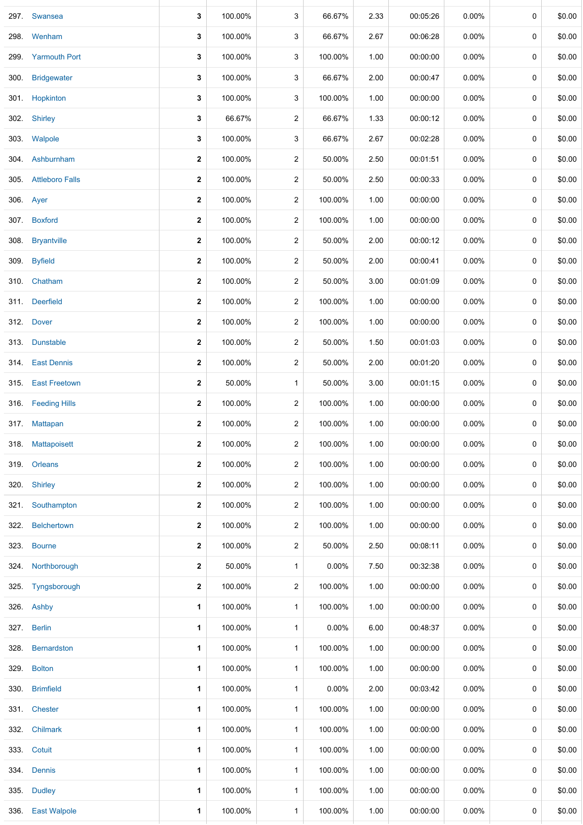|      | 297. Swansea         | 3            | 100.00% | 3                | 66.67%  | 2.33 | 00:05:26 | 0.00%    | 0           | \$0.00 |
|------|----------------------|--------------|---------|------------------|---------|------|----------|----------|-------------|--------|
|      | 298. Wenham          | 3            | 100.00% | 3                | 66.67%  | 2.67 | 00:06:28 | $0.00\%$ | 0           | \$0.00 |
| 299. | <b>Yarmouth Port</b> | 3            | 100.00% | 3                | 100.00% | 1.00 | 00:00:00 | $0.00\%$ | 0           | \$0.00 |
|      | 300. Bridgewater     | 3            | 100.00% | 3                | 66.67%  | 2.00 | 00:00:47 | $0.00\%$ | 0           | \$0.00 |
|      | 301. Hopkinton       | 3            | 100.00% | 3                | 100.00% | 1.00 | 00:00:00 | $0.00\%$ | 0           | \$0.00 |
|      | 302. Shirley         | 3            | 66.67%  | 2                | 66.67%  | 1.33 | 00:00:12 | $0.00\%$ | 0           | \$0.00 |
|      | 303. Walpole         | 3            | 100.00% | 3                | 66.67%  | 2.67 | 00:02:28 | 0.00%    | 0           | \$0.00 |
|      | 304 Ashburnham       | 2            | 100.00% | $\overline{c}$   | 50.00%  | 2.50 | 00:01:51 | $0.00\%$ | 0           | \$0.00 |
|      | 305. Attleboro Falls | 2            | 100.00% | $\overline{c}$   | 50.00%  | 2.50 | 00:00:33 | $0.00\%$ | 0           | \$0.00 |
|      | 306. Ayer            | $\mathbf{2}$ | 100.00% | $\overline{c}$   | 100.00% | 1.00 | 00:00:00 | $0.00\%$ | 0           | \$0.00 |
|      | 307. Boxford         | 2            | 100.00% | $\overline{c}$   | 100.00% | 1.00 | 00:00:00 | $0.00\%$ | 0           | \$0.00 |
|      | 308. Bryantville     | 2            | 100.00% | 2                | 50.00%  | 2.00 | 00:00:12 | 0.00%    | 0           | \$0.00 |
|      | 309. Byfield         | 2            | 100.00% | $\overline{c}$   | 50.00%  | 2.00 | 00:00:41 | $0.00\%$ | 0           | \$0.00 |
|      | 310. Chatham         | $\mathbf{2}$ | 100.00% | $\overline{c}$   | 50.00%  | 3.00 | 00:01:09 | $0.00\%$ | 0           | \$0.00 |
|      | 311. Deerfield       | 2            | 100.00% | 2                | 100.00% | 1.00 | 00:00:00 | $0.00\%$ | 0           | \$0.00 |
|      | 312. Dover           | 2            | 100.00% | 2                | 100.00% | 1.00 | 00:00:00 | $0.00\%$ | 0           | \$0.00 |
|      | 313. Dunstable       | 2            | 100.00% | 2                | 50.00%  | 1.50 | 00:01:03 | $0.00\%$ | 0           | \$0.00 |
|      | 314. East Dennis     | 2            | 100.00% | 2                | 50.00%  | 2.00 | 00:01:20 | $0.00\%$ | 0           | \$0.00 |
|      | 315. East Freetown   | 2            | 50.00%  | $\mathbf{1}$     | 50.00%  | 3.00 | 00:01:15 | $0.00\%$ | 0           | \$0.00 |
|      | 316. Feeding Hills   | 2            | 100.00% | 2                | 100.00% | 1.00 | 00:00:00 | $0.00\%$ | 0           | \$0.00 |
|      | 317. Mattapan        | $\mathbf{2}$ | 100.00% | $\overline{2}$   | 100.00% | 1.00 | 00:00:00 | $0.00\%$ | 0           | \$0.00 |
|      | 318. Mattapoisett    | $\mathbf{2}$ | 100.00% | 2                | 100.00% | 1.00 | 00:00:00 | $0.00\%$ | 0           | \$0.00 |
| 319. | <b>Orleans</b>       | $\mathbf{2}$ | 100.00% | $\overline{2}$   | 100.00% | 1.00 | 00:00:00 | 0.00%    | $\mathbf 0$ | \$0.00 |
| 320. | <b>Shirley</b>       | 2            | 100.00% | $\overline{c}$   | 100.00% | 1.00 | 00:00:00 | $0.00\%$ | 0           | \$0.00 |
| 321. | Southampton          | 2            | 100.00% | $\overline{c}$   | 100.00% | 1.00 | 00:00:00 | $0.00\%$ | 0           | \$0.00 |
| 322. | <b>Belchertown</b>   | 2            | 100.00% | $\overline{c}$   | 100.00% | 1.00 | 00:00:00 | $0.00\%$ | 0           | \$0.00 |
| 323. | <b>Bourne</b>        | 2            | 100.00% | $\boldsymbol{2}$ | 50.00%  | 2.50 | 00:08:11 | $0.00\%$ | 0           | \$0.00 |
|      | 324. Northborough    | 2            | 50.00%  | $\mathbf{1}$     | 0.00%   | 7.50 | 00:32:38 | $0.00\%$ | 0           | \$0.00 |
| 325. | Tyngsborough         | 2            | 100.00% | $\overline{c}$   | 100.00% | 1.00 | 00:00:00 | $0.00\%$ | 0           | \$0.00 |
|      | 326. Ashby           | $\mathbf 1$  | 100.00% | $\mathbf{1}$     | 100.00% | 1.00 | 00:00:00 | $0.00\%$ | 0           | \$0.00 |
|      | 327. Berlin          | 1            | 100.00% | $\mathbf{1}$     | 0.00%   | 6.00 | 00:48:37 | $0.00\%$ | 0           | \$0.00 |
| 328. | Bernardston          | $\mathbf 1$  | 100.00% | $\mathbf{1}$     | 100.00% | 1.00 | 00:00:00 | $0.00\%$ | 0           | \$0.00 |
|      | 329. Bolton          | 1            | 100.00% | $\mathbf{1}$     | 100.00% | 1.00 | 00:00:00 | $0.00\%$ | 0           | \$0.00 |
| 330. | <b>Brimfield</b>     | 1            | 100.00% | $\mathbf{1}$     | 0.00%   | 2.00 | 00:03:42 | $0.00\%$ | 0           | \$0.00 |
|      | 331. Chester         | $\mathbf 1$  | 100.00% | $\mathbf{1}$     | 100.00% | 1.00 | 00:00:00 | $0.00\%$ | 0           | \$0.00 |
| 332. | <b>Chilmark</b>      | $\mathbf 1$  | 100.00% | $\mathbf{1}$     | 100.00% | 1.00 | 00:00:00 | $0.00\%$ | 0           | \$0.00 |
|      | 333. Cotuit          | 1            | 100.00% | $\mathbf{1}$     | 100.00% | 1.00 | 00:00:00 | $0.00\%$ | 0           | \$0.00 |
| 334. | Dennis               | $\mathbf{1}$ | 100.00% | $\mathbf{1}$     | 100.00% | 1.00 | 00:00:00 | $0.00\%$ | 0           | \$0.00 |
| 335. | <b>Dudley</b>        | 1            | 100.00% | $\mathbf{1}$     | 100.00% | 1.00 | 00:00:00 | $0.00\%$ | 0           | \$0.00 |
| 336. | <b>East Walpole</b>  | 1            | 100.00% | $\mathbf{1}$     | 100.00% | 1.00 | 00:00:00 | $0.00\%$ | 0           | \$0.00 |